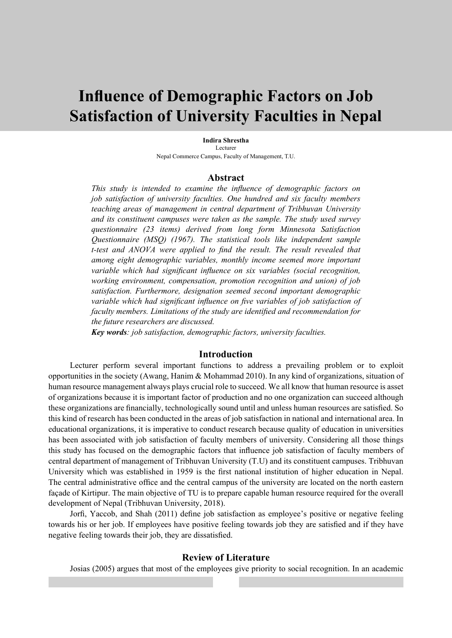# **Influence of Demographic Factors on Job Satisfaction of University Faculties in Nepal**

#### **Indira Shrestha** Lecturer

Nepal Commerce Campus, Faculty of Management, T.U.

### **Abstract**

*This study is intended to examine the influence of demographic factors on job satisfaction of university faculties. One hundred and six faculty members teaching areas of management in central department of Tribhuvan University and its constituent campuses were taken as the sample. The study used survey questionnaire (23 items) derived from long form Minnesota Satisfaction Questionnaire (MSQ) (1967). The statistical tools like independent sample t-test and ANOVA were applied to find the result. The result revealed that among eight demographic variables, monthly income seemed more important variable which had significant influence on six variables (social recognition, working environment, compensation, promotion recognition and union) of job satisfaction. Furthermore, designation seemed second important demographic variable which had significant influence on five variables of job satisfaction of faculty members. Limitations of the study are identified and recommendation for the future researchers are discussed.*

*Key words: job satisfaction, demographic factors, university faculties.*

### **Introduction**

Lecturer perform several important functions to address a prevailing problem or to exploit opportunities in the society (Awang, Hanim & Mohammad 2010). In any kind of organizations, situation of human resource management always plays crucial role to succeed. We all know that human resource is asset of organizations because it is important factor of production and no one organization can succeed although these organizations are financially, technologically sound until and unless human resources are satisfied. So this kind of research has been conducted in the areas of job satisfaction in national and international area. In educational organizations, it is imperative to conduct research because quality of education in universities has been associated with job satisfaction of faculty members of university. Considering all those things this study has focused on the demographic factors that influence job satisfaction of faculty members of central department of management of Tribhuvan University (T.U) and its constituent campuses. Tribhuvan University which was established in 1959 is the first national institution of higher education in Nepal. The central administrative office and the central campus of the university are located on the north eastern façade of Kirtipur. The main objective of TU is to prepare capable human resource required for the overall development of Nepal (Tribhuvan University, 2018).

Jorfi, Yaccob, and Shah (2011) define job satisfaction as employee's positive or negative feeling towards his or her job. If employees have positive feeling towards job they are satisfied and if they have negative feeling towards their job, they are dissatisfied.

### **Review of Literature**

Josias (2005) argues that most of the employees give priority to social recognition. In an academic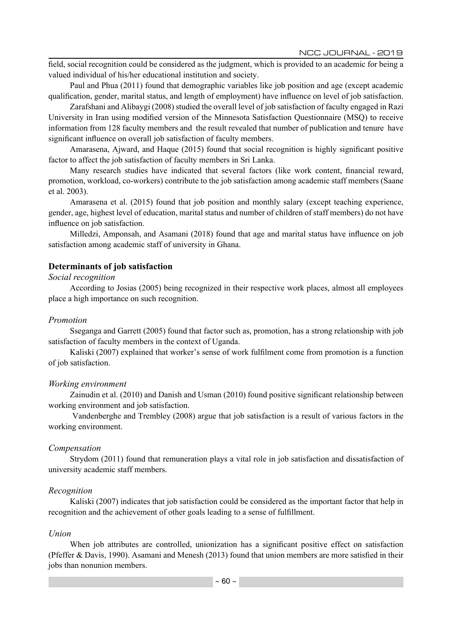NCC JOURNAL - 2019

field, social recognition could be considered as the judgment, which is provided to an academic for being a valued individual of his/her educational institution and society.

Paul and Phua (2011) found that demographic variables like job position and age (except academic qualification, gender, marital status, and length of employment) have influence on level of job satisfaction.

Zarafshani and Alibaygi (2008) studied the overall level of job satisfaction of faculty engaged in Razi University in Iran using modified version of the Minnesota Satisfaction Questionnaire (MSQ) to receive information from 128 faculty members and the result revealed that number of publication and tenure have significant influence on overall job satisfaction of faculty members.

Amarasena, Ajward, and Haque (2015) found that social recognition is highly significant positive factor to affect the job satisfaction of faculty members in Sri Lanka.

Many research studies have indicated that several factors (like work content, financial reward, promotion, workload, co-workers) contribute to the job satisfaction among academic staff members (Saane et al. 2003).

Amarasena et al. (2015) found that job position and monthly salary (except teaching experience, gender, age, highest level of education, marital status and number of children of staff members) do not have influence on job satisfaction.

Milledzi, Amponsah, and Asamani (2018) found that age and marital status have influence on job satisfaction among academic staff of university in Ghana.

### **Determinants of job satisfaction**

### *Social recognition*

According to Josias (2005) being recognized in their respective work places, almost all employees place a high importance on such recognition.

### *Promotion*

Sseganga and Garrett (2005) found that factor such as, promotion, has a strong relationship with job satisfaction of faculty members in the context of Uganda.

Kaliski (2007) explained that worker's sense of work fulfilment come from promotion is a function of job satisfaction.

### *Working environment*

Zainudin et al. (2010) and Danish and Usman (2010) found positive significant relationship between working environment and job satisfaction.

 Vandenberghe and Trembley (2008) argue that job satisfaction is a result of various factors in the working environment.

### *Compensation*

Strydom (2011) found that remuneration plays a vital role in job satisfaction and dissatisfaction of university academic staff members.

### *Recognition*

Kaliski (2007) indicates that job satisfaction could be considered as the important factor that help in recognition and the achievement of other goals leading to a sense of fulfillment.

### *Union*

When job attributes are controlled, unionization has a significant positive effect on satisfaction (Pfeffer & Davis, 1990). Asamani and Menesh (2013) found that union members are more satisfied in their jobs than nonunion members.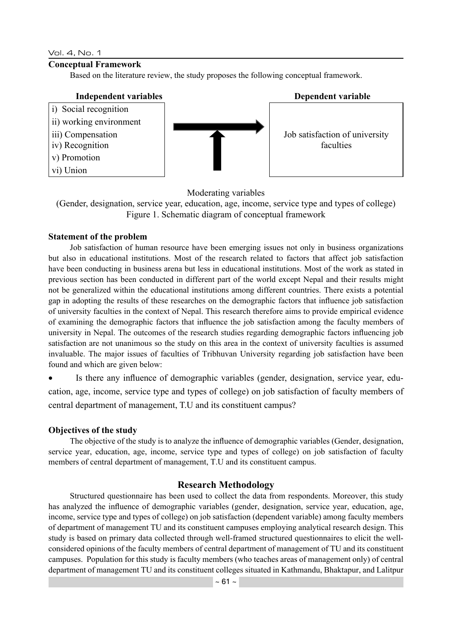### Vol. 4, No. 1

v) Promotion vi) Union

### **Conceptual Framework**

Based on the literature review, the study proposes the following conceptual framework.

## i) Social recognition ii) working environment iii) Compensation iv) Recognition



### **Independent variables Dependent variable**

Job satisfaction of university faculties

### Moderating variables

(Gender, designation, service year, education, age, income, service type and types of college) Figure 1. Schematic diagram of conceptual framework

### **Statement of the problem**

Job satisfaction of human resource have been emerging issues not only in business organizations but also in educational institutions. Most of the research related to factors that affect job satisfaction have been conducting in business arena but less in educational institutions. Most of the work as stated in previous section has been conducted in different part of the world except Nepal and their results might not be generalized within the educational institutions among different countries. There exists a potential gap in adopting the results of these researches on the demographic factors that influence job satisfaction of university faculties in the context of Nepal. This research therefore aims to provide empirical evidence of examining the demographic factors that influence the job satisfaction among the faculty members of university in Nepal. The outcomes of the research studies regarding demographic factors influencing job satisfaction are not unanimous so the study on this area in the context of university faculties is assumed invaluable. The major issues of faculties of Tribhuvan University regarding job satisfaction have been found and which are given below:

Is there any influence of demographic variables (gender, designation, service year, education, age, income, service type and types of college) on job satisfaction of faculty members of central department of management, T.U and its constituent campus?

### **Objectives of the study**

The objective of the study is to analyze the influence of demographic variables (Gender, designation, service year, education, age, income, service type and types of college) on job satisfaction of faculty members of central department of management, T.U and its constituent campus.

### **Research Methodology**

Structured questionnaire has been used to collect the data from respondents. Moreover, this study has analyzed the influence of demographic variables (gender, designation, service year, education, age, income, service type and types of college) on job satisfaction (dependent variable) among faculty members of department of management TU and its constituent campuses employing analytical research design. This study is based on primary data collected through well-framed structured questionnaires to elicit the wellconsidered opinions of the faculty members of central department of management of TU and its constituent campuses. Population for this study is faculty members (who teaches areas of management only) of central department of management TU and its constituent colleges situated in Kathmandu, Bhaktapur, and Lalitpur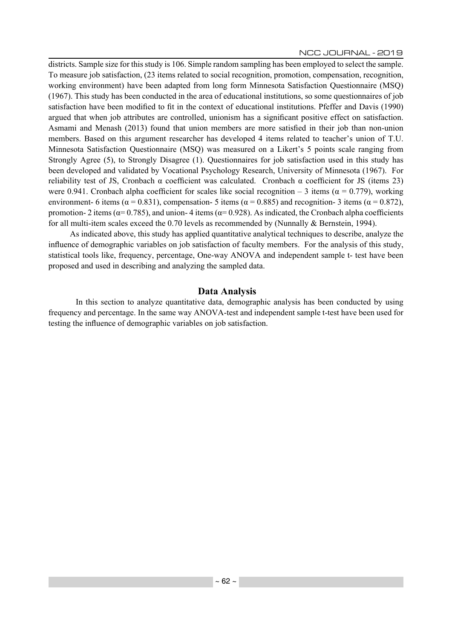districts. Sample size for this study is 106. Simple random sampling has been employed to select the sample. To measure job satisfaction, (23 items related to social recognition, promotion, compensation, recognition, working environment) have been adapted from long form Minnesota Satisfaction Questionnaire (MSQ) (1967). This study has been conducted in the area of educational institutions, so some questionnaires of job satisfaction have been modified to fit in the context of educational institutions. Pfeffer and Davis (1990) argued that when job attributes are controlled, unionism has a significant positive effect on satisfaction. Asmami and Menash (2013) found that union members are more satisfied in their job than non-union members. Based on this argument researcher has developed 4 items related to teacher's union of T.U. Minnesota Satisfaction Questionnaire (MSQ) was measured on a Likert's 5 points scale ranging from Strongly Agree (5), to Strongly Disagree (1). Questionnaires for job satisfaction used in this study has been developed and validated by Vocational Psychology Research, University of Minnesota (1967). For reliability test of JS, Cronbach  $\alpha$  coefficient was calculated. Cronbach  $\alpha$  coefficient for JS (items 23) were 0.941. Cronbach alpha coefficient for scales like social recognition – 3 items ( $\alpha$  = 0.779), working environment- 6 items ( $\alpha$  = 0.831), compensation- 5 items ( $\alpha$  = 0.885) and recognition- 3 items ( $\alpha$  = 0.872), promotion- 2 items ( $\alpha$ = 0.785), and union-4 items ( $\alpha$ = 0.928). As indicated, the Cronbach alpha coefficients for all multi-item scales exceed the 0.70 levels as recommended by (Nunnally & Bernstein, 1994).

As indicated above, this study has applied quantitative analytical techniques to describe, analyze the influence of demographic variables on job satisfaction of faculty members. For the analysis of this study, statistical tools like, frequency, percentage, One-way ANOVA and independent sample t- test have been proposed and used in describing and analyzing the sampled data.

### **Data Analysis**

In this section to analyze quantitative data, demographic analysis has been conducted by using frequency and percentage. In the same way ANOVA-test and independent sample t-test have been used for testing the influence of demographic variables on job satisfaction.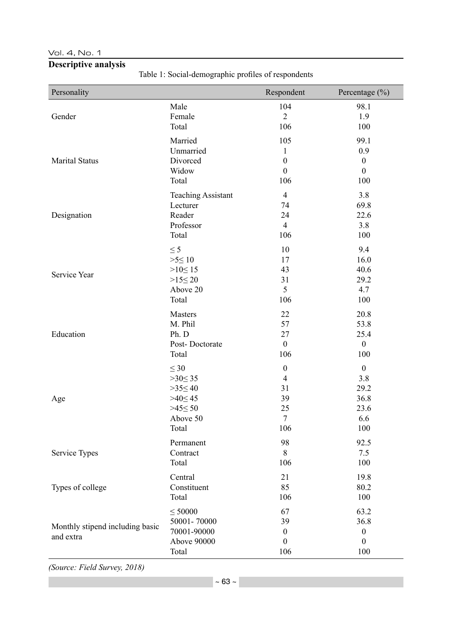### Vol. 4, No. 1

### **Descriptive analysis**

Table 1: Social-demographic profiles of respondents

| Personality                                  |                                                                    | Respondent                                              | Percentage $(\% )$                                          |
|----------------------------------------------|--------------------------------------------------------------------|---------------------------------------------------------|-------------------------------------------------------------|
| Gender                                       | Male                                                               | 104                                                     | 98.1                                                        |
|                                              | Female                                                             | $\overline{2}$                                          | 1.9                                                         |
|                                              | Total                                                              | 106                                                     | 100                                                         |
| <b>Marital Status</b>                        | Married                                                            | 105                                                     | 99.1                                                        |
|                                              | Unmarried                                                          | $\mathbf{1}$                                            | 0.9                                                         |
|                                              | Divorced                                                           | $\boldsymbol{0}$                                        | $\boldsymbol{0}$                                            |
|                                              | Widow                                                              | $\boldsymbol{0}$                                        | $\boldsymbol{0}$                                            |
|                                              | Total                                                              | 106                                                     | 100                                                         |
| Designation                                  | <b>Teaching Assistant</b>                                          | $\overline{4}$                                          | 3.8                                                         |
|                                              | Lecturer                                                           | 74                                                      | 69.8                                                        |
|                                              | Reader                                                             | 24                                                      | 22.6                                                        |
|                                              | Professor                                                          | $\overline{4}$                                          | 3.8                                                         |
|                                              | Total                                                              | 106                                                     | 100                                                         |
| Service Year                                 | $\leq$ 5                                                           | 10                                                      | 9.4                                                         |
|                                              | $>5 \leq 10$                                                       | 17                                                      | 16.0                                                        |
|                                              | $>10 \le 15$                                                       | 43                                                      | 40.6                                                        |
|                                              | $>15 \leq 20$                                                      | 31                                                      | 29.2                                                        |
|                                              | Above 20                                                           | 5                                                       | 4.7                                                         |
|                                              | Total                                                              | 106                                                     | 100                                                         |
| Education                                    | <b>Masters</b>                                                     | 22                                                      | 20.8                                                        |
|                                              | M. Phil                                                            | 57                                                      | 53.8                                                        |
|                                              | Ph. D                                                              | 27                                                      | 25.4                                                        |
|                                              | Post-Doctorate                                                     | $\boldsymbol{0}$                                        | $\boldsymbol{0}$                                            |
|                                              | Total                                                              | 106                                                     | 100                                                         |
| Age                                          | $\leq 30$                                                          | $\boldsymbol{0}$                                        | $\boldsymbol{0}$                                            |
|                                              | $>30 \le 35$                                                       | $\overline{4}$                                          | 3.8                                                         |
|                                              | $>35 \leq 40$                                                      | 31                                                      | 29.2                                                        |
|                                              | $>40 \leq 45$                                                      | 39                                                      | 36.8                                                        |
|                                              | $>45 \leq 50$                                                      | 25                                                      | 23.6                                                        |
|                                              | Above 50                                                           | $\tau$                                                  | 6.6                                                         |
|                                              | Total                                                              | 106                                                     | 100                                                         |
| Service Types                                | Permanent                                                          | 98                                                      | 92.5                                                        |
|                                              | Contract                                                           | 8                                                       | 7.5                                                         |
|                                              | Total                                                              | 106                                                     | 100                                                         |
| Types of college                             | Central                                                            | 21                                                      | 19.8                                                        |
|                                              | Constituent                                                        | 85                                                      | 80.2                                                        |
|                                              | Total                                                              | 106                                                     | 100                                                         |
| Monthly stipend including basic<br>and extra | $\leq$ 50000<br>50001-70000<br>70001-90000<br>Above 90000<br>Total | 67<br>39<br>$\boldsymbol{0}$<br>$\boldsymbol{0}$<br>106 | 63.2<br>36.8<br>$\boldsymbol{0}$<br>$\boldsymbol{0}$<br>100 |

*(Source: Field Survey, 2018)*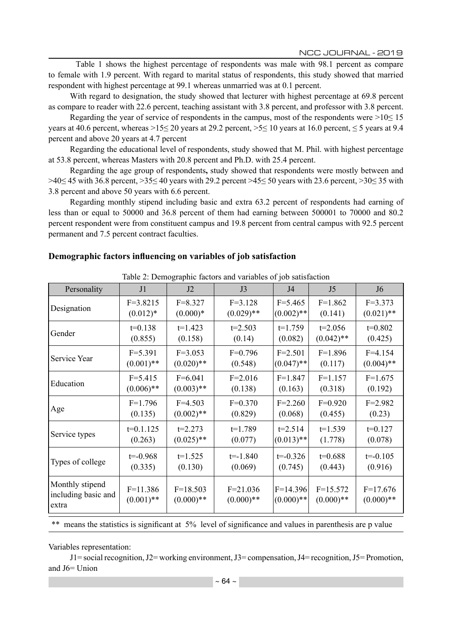Table 1 shows the highest percentage of respondents was male with 98.1 percent as compare to female with 1.9 percent. With regard to marital status of respondents, this study showed that married respondent with highest percentage at 99.1 whereas unmarried was at 0.1 percent.

With regard to designation, the study showed that lecturer with highest percentage at 69.8 percent as compare to reader with 22.6 percent, teaching assistant with 3.8 percent, and professor with 3.8 percent.

Regarding the year of service of respondents in the campus, most of the respondents were  $>10 \le 15$ years at 40.6 percent, whereas >15 $\leq$  20 years at 29.2 percent, >5 $\leq$  10 years at 16.0 percent,  $\leq$  5 years at 9.4 percent and above 20 years at 4.7 percent

Regarding the educational level of respondents, study showed that M. Phil. with highest percentage at 53.8 percent, whereas Masters with 20.8 percent and Ph.D. with 25.4 percent.

Regarding the age group of respondents**,** study showed that respondents were mostly between and >40≤ 45 with 36.8 percent, >35≤ 40 years with 29.2 percent >45≤ 50 years with 23.6 percent, >30≤ 35 with 3.8 percent and above 50 years with 6.6 percent.

Regarding monthly stipend including basic and extra 63.2 percent of respondents had earning of less than or equal to 50000 and 36.8 percent of them had earning between 500001 to 70000 and 80.2 percent respondent were from constituent campus and 19.8 percent from central campus with 92.5 percent permanent and 7.5 percent contract faculties.

### **Demographic factors influencing on variables of job satisfaction**

| Table 2: Demographic factors and variables of job satisfaction |              |              |              |              |                |                |  |
|----------------------------------------------------------------|--------------|--------------|--------------|--------------|----------------|----------------|--|
| Personality                                                    | J1           | J2           | J3           | J4           | J <sub>5</sub> | J <sub>6</sub> |  |
| Designation                                                    | $F=3.8215$   | $F = 8.327$  | $F=3.128$    | $F = 5.465$  | $F=1.862$      | $F = 3.373$    |  |
|                                                                | $(0.012)*$   | $(0.000)*$   | $(0.029)$ ** | $(0.002)$ ** | (0.141)        | $(0.021)$ **   |  |
| Gender                                                         | $t=0.138$    | $t=1.423$    | $t=2.503$    | $t=1.759$    | $t=2.056$      | $t=0.802$      |  |
|                                                                | (0.855)      | (0.158)      | (0.14)       | (0.082)      | $(0.042)$ **   | (0.425)        |  |
| Service Year                                                   | $F = 5.391$  | $F=3.053$    | $F=0.796$    | $F = 2.501$  | $F=1.896$      | $F=4.154$      |  |
|                                                                | $(0.001)$ ** | $(0.020)$ ** | (0.548)      | $(0.047)$ ** | (0.117)        | $(0.004)$ **   |  |
| Education                                                      | $F = 5.415$  | $F=6.041$    | $F = 2.016$  | $F=1.847$    | $F=1.157$      | $F=1.675$      |  |
|                                                                | $(0.006)$ ** | $(0.003)$ ** | (0.138)      | (0.163)      | (0.318)        | (0.192)        |  |
| Age                                                            | $F=1.796$    | $F=4.503$    | $F=0.370$    | $F=2.260$    | $F=0.920$      | $F = 2.982$    |  |
|                                                                | (0.135)      | $(0.002)$ ** | (0.829)      | (0.068)      | (0.455)        | (0.23)         |  |
| Service types                                                  | $t=0.1.125$  | $t = 2.273$  | $t=1.789$    | $t=2.514$    | $t=1.539$      | $t=0.127$      |  |
|                                                                | (0.263)      | $(0.025)$ ** | (0.077)      | $(0.013)$ ** | (1.778)        | (0.078)        |  |
| Types of college                                               | $t = -0.968$ | $t=1.525$    | $t = -1.840$ | $t = -0.326$ | $t=0.688$      | $t = -0.105$   |  |
|                                                                | (0.335)      | (0.130)      | (0.069)      | (0.745)      | (0.443)        | (0.916)        |  |
| Monthly stipend                                                | $F=11.386$   | $F=18.503$   | $F = 21.036$ | $F=14.396$   | $F=15.572$     | $F=17.676$     |  |
| including basic and                                            | $(0.001)$ ** | $(0.000)**$  | $(0.000)**$  | $(0.000)**$  | $(0.000)**$    | $(0.000)**$    |  |
| extra                                                          |              |              |              |              |                |                |  |

Table 2: Demographic factors and variables of job satisfaction

\*\* means the statistics is significant at 5% level of significance and values in parenthesis are p value

Variables representation:

J1= social recognition, J2= working environment, J3= compensation, J4= recognition, J5= Promotion, and J6= Union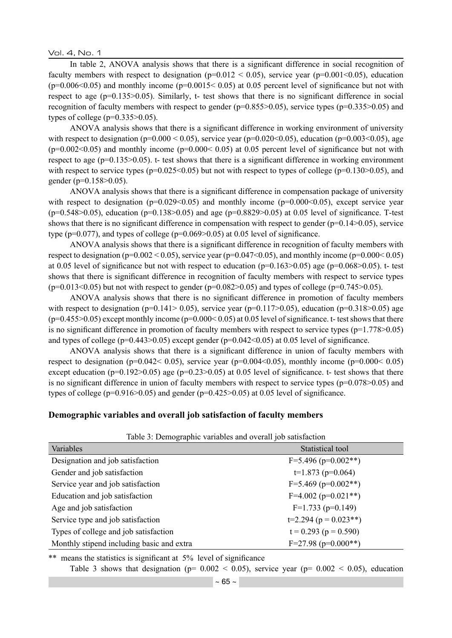Vol. 4, No. 1

In table 2, ANOVA analysis shows that there is a significant difference in social recognition of faculty members with respect to designation ( $p=0.012 < 0.05$ ), service year ( $p=0.001 < 0.05$ ), education  $(p=0.006<0.05)$  and monthly income  $(p=0.0015<0.05)$  at 0.05 percent level of significance but not with respect to age (p=0.135>0.05). Similarly, t- test shows that there is no significant difference in social recognition of faculty members with respect to gender (p=0.855>0.05), service types (p=0.335>0.05) and types of college ( $p=0.335>0.05$ ).

ANOVA analysis shows that there is a significant difference in working environment of university with respect to designation ( $p=0.000 < 0.05$ ), service year ( $p=0.020<0.05$ ), education ( $p=0.003<0.05$ ), age  $(p=0.002<0.05)$  and monthly income  $(p=0.000<0.05)$  at 0.05 percent level of significance but not with respect to age (p=0.135>0.05). t- test shows that there is a significant difference in working environment with respect to service types ( $p=0.025<0.05$ ) but not with respect to types of college ( $p=0.130>0.05$ ), and gender (p=0.158>0.05).

ANOVA analysis shows that there is a significant difference in compensation package of university with respect to designation ( $p=0.029<0.05$ ) and monthly income ( $p=0.000<0.05$ ), except service year  $(p=0.548>0.05)$ , education (p=0.138>0.05) and age (p=0.8829>0.05) at 0.05 level of significance. T-test shows that there is no significant difference in compensation with respect to gender (p=0.14>0.05), service type ( $p=0.077$ ), and types of college ( $p=0.069>0.05$ ) at 0.05 level of significance.

ANOVA analysis shows that there is a significant difference in recognition of faculty members with respect to designation ( $p=0.002 < 0.05$ ), service year ( $p=0.047<0.05$ ), and monthly income ( $p=0.000<0.05$ ) at 0.05 level of significance but not with respect to education ( $p=0.163>0.05$ ) age ( $p=0.068>0.05$ ). t- test shows that there is significant difference in recognition of faculty members with respect to service types  $(p=0.013 < 0.05)$  but not with respect to gender  $(p=0.082 > 0.05)$  and types of college  $(p=0.745 > 0.05)$ .

ANOVA analysis shows that there is no significant difference in promotion of faculty members with respect to designation (p=0.141> 0.05), service year (p=0.117>0.05), education (p=0.318>0.05) age  $(p=0.455>0.05)$  except monthly income  $(p=0.000<0.05)$  at 0.05 level of significance. t- test shows that there is no significant difference in promotion of faculty members with respect to service types (p=1.778>0.05) and types of college (p=0.443>0.05) except gender (p=0.042<0.05) at 0.05 level of significance.

ANOVA analysis shows that there is a significant difference in union of faculty members with respect to designation ( $p=0.042< 0.05$ ), service year ( $p=0.004< 0.05$ ), monthly income ( $p=0.000< 0.05$ ) except education ( $p=0.192>0.05$ ) age ( $p=0.23>0.05$ ) at 0.05 level of significance. t- test shows that there is no significant difference in union of faculty members with respect to service types (p=0.078>0.05) and types of college ( $p=0.916>0.05$ ) and gender ( $p=0.425>0.05$ ) at 0.05 level of significance.

### **Demographic variables and overall job satisfaction of faculty members**

| Table 5. Demographic variables and overall job satisfaction |                             |  |  |  |
|-------------------------------------------------------------|-----------------------------|--|--|--|
| Variables                                                   | Statistical tool            |  |  |  |
| Designation and job satisfaction                            | $F=5.496$ (p=0.002**)       |  |  |  |
| Gender and job satisfaction                                 | $t=1.873$ (p=0.064)         |  |  |  |
| Service year and job satisfaction                           | $F=5.469$ (p=0.002**)       |  |  |  |
| Education and job satisfaction                              | $F=4.002$ (p=0.021**)       |  |  |  |
| Age and job satisfaction                                    | $F=1.733$ (p=0.149)         |  |  |  |
| Service type and job satisfaction                           | $t=2.294 (p = 0.023**)$     |  |  |  |
| Types of college and job satisfaction                       | $t = 0.293$ ( $p = 0.590$ ) |  |  |  |
| Monthly stipend including basic and extra                   | $F=27.98$ (p=0.000**)       |  |  |  |

Table 3: Demographic variables and overall job satisfaction

\*\* means the statistics is significant at 5% level of significance

Table 3 shows that designation ( $p= 0.002 < 0.05$ ), service year ( $p= 0.002 < 0.05$ ), education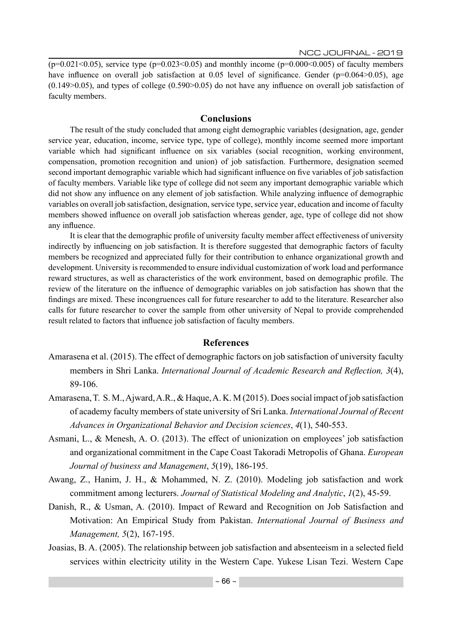$($ p=0.021<0.05), service type (p=0.023<0.05) and monthly income (p=0.000<0.005) of faculty members have influence on overall job satisfaction at 0.05 level of significance. Gender ( $p=0.064>0.05$ ), age  $(0.149>0.05)$ , and types of college  $(0.590>0.05)$  do not have any influence on overall job satisfaction of faculty members.

### **Conclusions**

The result of the study concluded that among eight demographic variables (designation, age, gender service year, education, income, service type, type of college), monthly income seemed more important variable which had significant influence on six variables (social recognition, working environment, compensation, promotion recognition and union) of job satisfaction. Furthermore, designation seemed second important demographic variable which had significant influence on five variables of job satisfaction of faculty members. Variable like type of college did not seem any important demographic variable which did not show any influence on any element of job satisfaction. While analyzing influence of demographic variables on overall job satisfaction, designation, service type, service year, education and income of faculty members showed influence on overall job satisfaction whereas gender, age, type of college did not show any influence.

It is clear that the demographic profile of university faculty member affect effectiveness of university indirectly by influencing on job satisfaction. It is therefore suggested that demographic factors of faculty members be recognized and appreciated fully for their contribution to enhance organizational growth and development. University is recommended to ensure individual customization of work load and performance reward structures, as well as characteristics of the work environment, based on demographic profile. The review of the literature on the influence of demographic variables on job satisfaction has shown that the findings are mixed. These incongruences call for future researcher to add to the literature. Researcher also calls for future researcher to cover the sample from other university of Nepal to provide comprehended result related to factors that influence job satisfaction of faculty members.

### **References**

- Amarasena et al. (2015). The effect of demographic factors on job satisfaction of university faculty members in Shri Lanka. *International Journal of Academic Research and Reflection, 3*(4), 89-106.
- Amarasena, T. S. M., Ajward, A.R., & Haque, A. K. M (2015). Does social impact of job satisfaction of academy faculty members of state university of Sri Lanka. *International Journal of Recent Advances in Organizational Behavior and Decision sciences*, *4*(1), 540-553.
- Asmani, L., & Menesh, A. O. (2013). The effect of unionization on employees' job satisfaction and organizational commitment in the Cape Coast Takoradi Metropolis of Ghana. *European Journal of business and Management*, *5*(19), 186-195.
- Awang, Z., Hanim, J. H., & Mohammed, N. Z. (2010). Modeling job satisfaction and work commitment among lecturers. *Journal of Statistical Modeling and Analytic*, *1*(2), 45-59.
- Danish, R., & Usman, A. (2010). Impact of Reward and Recognition on Job Satisfaction and Motivation: An Empirical Study from Pakistan. *International Journal of Business and Management, 5*(2), 167-195.
- Joasias, B. A. (2005). The relationship between job satisfaction and absenteeism in a selected field services within electricity utility in the Western Cape. Yukese Lisan Tezi. Western Cape